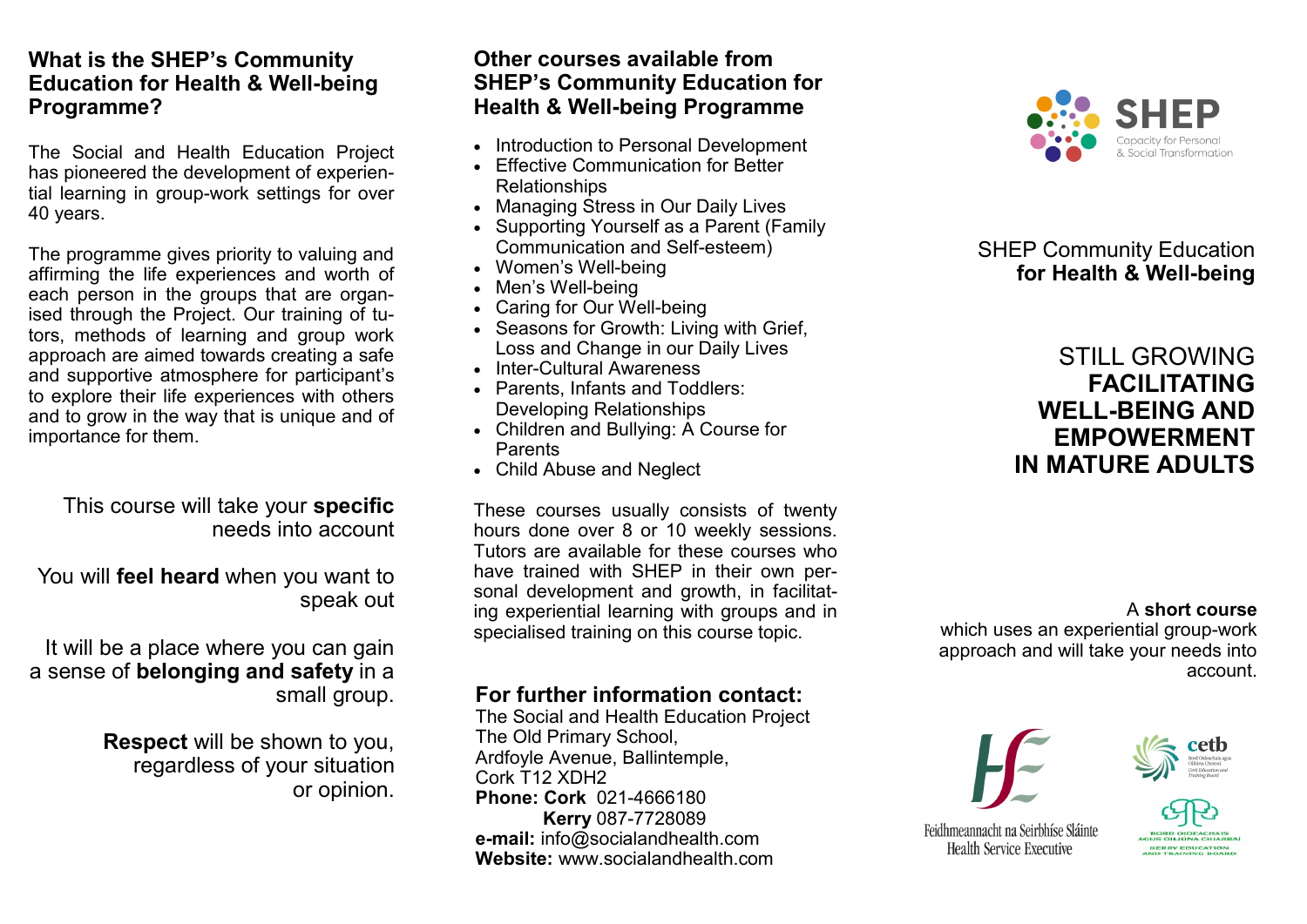#### **What is the SHEP's Community Education for Health & Well-being Programme?**

The Social and Health Education Project has pioneered the development of experiential learning in group-work settings for over 40 years.

The programme gives priority to valuing and affirming the life experiences and worth of each person in the groups that are organised through the Project. Our training of tutors, methods of learning and group work approach are aimed towards creating a safe and supportive atmosphere for participant's to explore their life experiences with others and to grow in the way that is unique and of importance for them.

This course will take your **specific**  needs into account

You will **feel heard** when you want to speak out

It will be a place where you can gain a sense of **belonging and safety** in a small group.

> **Respect** will be shown to you, regardless of your situation or opinion.

#### **Other courses available from SHEP's Community Education for Health & Well-being Programme**

- Introduction to Personal Development
- Effective Communication for Better Relationships
- Managing Stress in Our Daily Lives
- Supporting Yourself as a Parent (Family Communication and Self-esteem)
- Women's Well-being
- Men's Well-being
- Caring for Our Well-being
- Seasons for Growth: Living with Grief, Loss and Change in our Daily Lives
- Inter-Cultural Awareness
- Parents, Infants and Toddlers: Developing Relationships
- Children and Bullying: A Course for Parents
- Child Abuse and Neglect

These courses usually consists of twenty hours done over 8 or 10 weekly sessions. Tutors are available for these courses who have trained with SHEP in their own personal development and growth, in facilitating experiential learning with groups and in specialised training on this course topic.

# **For further information contact:**

The Social and Health Education Project The Old Primary School, Ardfoyle Avenue, Ballintemple, Cork T12 XDH2 **Phone: Cork** 021-4666180 **Kerry** 087-7728089 **e-mail:** info@socialandhealth.com **Website:** www.socialandhealth.com



## SHEP Community Education  **for Health & Well-being**

# STILL GROWING **FACILITATING WELL-BEING AND EMPOWERMENT IN MATURE ADULTS**

A **short course**

which uses an experiential group-work approach and will take your needs into account.





Feidhmeannacht na Seirbhíse Sláinte Health Service Executive